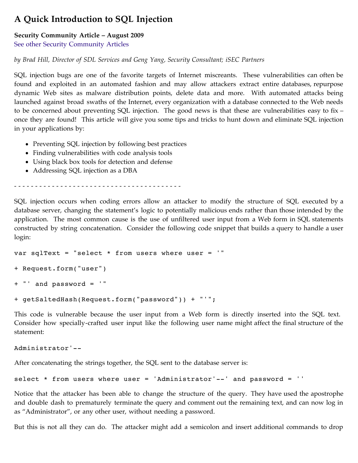# **A Quick Introduction to SQL Injection**

# **Security Community Article – August 2009**

[See other Security Community Articles](http://technet.microsoft.com/library/cc895283.aspx)

*by Brad Hill, Director of SDL Services and Geng Yang, Security Consultant; iSEC Partners*

SQL injection bugs are one of the favorite targets of Internet miscreants. These vulnerabilities can often be found and exploited in an automated fashion and may allow attackers extract entire databases, repurpose dynamic Web sites as malware distribution points, delete data and more. With automated attacks being launched against broad swaths of the Internet, every organization with a database connected to the Web needs to be concerned about preventing SQL injection. The good news is that these are vulnerabilities easy to fix – once they are found! This article will give you some tips and tricks to hunt down and eliminate SQL injection in your applications by:

- Preventing SQL injection by following best practices
- Finding vulnerabilities with code analysis tools
- Using black box tools for detection and defense
- Addressing SQL injection as a DBA

 $-$  -  $-$ 

SQL injection occurs when coding errors allow an attacker to modify the structure of SQL executed by a database server, changing the statement's logic to potentially malicious ends rather than those intended by the application. The most common cause is the use of unfiltered user input from a Web form in SQL statements constructed by string concatenation. Consider the following code snippet that builds a query to handle a user login:

```
var sqlText = "select * from users where user = '"
+ Request.form("user")
+ "' and password = '"
+ getSaltedHash(Request.form("password")) + "'";
```
This code is vulnerable because the user input from a Web form is directly inserted into the SQL text. Consider how specially-crafted user input like the following user name might affect the final structure of the statement:

Administrator'--

After concatenating the strings together, the SQL sent to the database server is:

```
select * from users where user = 'Administrator'--' and password = ''
```
Notice that the attacker has been able to change the structure of the query. They have used the apostrophe and double dash to prematurely terminate the query and comment out the remaining text, and can now log in as "Administrator", or any other user, without needing a password.

But this is not all they can do. The attacker might add a semicolon and insert additional commands to drop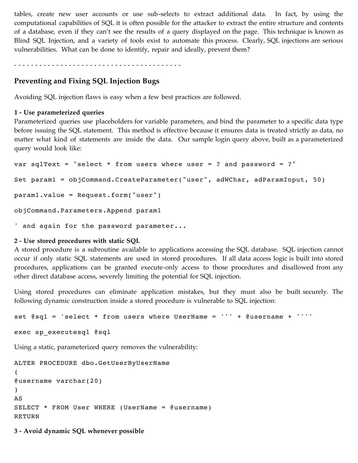tables, create new user accounts or use sub-selects to extract additional data. In fact, by using the computational capabilities of SQL it is often possible for the attacker to extract the entire structure and contents of a database, even if they can't see the results of a query displayed on the page. This technique is known as Blind SQL Injection, and a variety of tools exist to automate this process. Clearly, SQL injections are serious vulnerabilities. What can be done to identify, repair and ideally, prevent them?

- - - - - - - - - - - - - - - - - - - - - - - - - - - - - - - - - - - - - - - -

## **Preventing and Fixing SQL Injection Bugs**

Avoiding SQL injection flaws is easy when a few best practices are followed.

#### **1 - Use parameterized queries**

Parameterized queries use placeholders for variable parameters, and bind the parameter to a specific data type before issuing the SQL statement. This method is effective because it ensures data is treated strictly as data, no matter what kind of statements are inside the data. Our sample login query above, built as a parameterized query would look like:

```
var sqlText = "select * from users where user = ? and password = ?"
Set param1 = objCommand.CreateParameter("user", adWChar, adParamInput, 50)
param1.value = Request.form("user")
objCommand.Parameters.Append param1
```
' and again for the password parameter...

#### **2 - Use stored procedures with static SQL**

A stored procedure is a subroutine available to applications accessing the SQL database. SQL injection cannot occur if only static SQL statements are used in stored procedures. If all data access logic is built into stored procedures, applications can be granted execute-only access to those procedures and disallowed from any other direct database access, severely limiting the potential for SQL injection.

Using stored procedures can eliminate application mistakes, but they must also be built securely. The following dynamic construction inside a stored procedure is vulnerable to SQL injection:

```
set @sql = 'select * from users where UserName = ''' + @username + ''''
```

```
exec sp_executesql @sql
```
Using a static, parameterized query removes the vulnerability:

```
ALTER PROCEDURE dbo.GetUserByUserName
( 
@username varchar(20) 
\lambdaAS 
SELECT * FROM User WHERE (UserName = @username) 
RETURN
```
**3 - Avoid dynamic SQL whenever possible**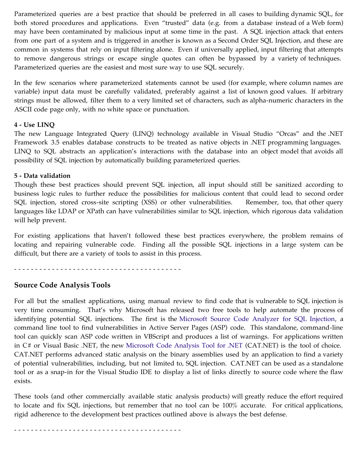Parameterized queries are a best practice that should be preferred in all cases to building dynamic SQL, for both stored procedures and applications. Even "trusted" data (e.g. from a database instead of a Web form) may have been contaminated by malicious input at some time in the past. A SQL injection attack that enters from one part of a system and is triggered in another is known as a Second Order SQL Injection, and these are common in systems that rely on input filtering alone. Even if universally applied, input filtering that attempts to remove dangerous strings or escape single quotes can often be bypassed by a variety of techniques. Parameterized queries are the easiest and most sure way to use SQL securely.

In the few scenarios where parameterized statements cannot be used (for example, where column names are variable) input data must be carefully validated, preferably against a list of known good values. If arbitrary strings must be allowed, filter them to a very limited set of characters, such as alpha-numeric characters in the ASCII code page only, with no white space or punctuation.

### **4 - Use LINQ**

The new Language Integrated Query (LINQ) technology available in Visual Studio "Orcas" and the .NET Framework 3.5 enables database constructs to be treated as native objects in .NET programming languages. LINQ to SQL abstracts an application's interactions with the database into an object model that avoids all possibility of SQL injection by automatically building parameterized queries.

### **5 - Data validation**

Though these best practices should prevent SQL injection, all input should still be sanitized according to business logic rules to further reduce the possibilities for malicious content that could lead to second order SQL injection, stored cross-site scripting (XSS) or other vulnerabilities. Remember, too, that other query languages like LDAP or XPath can have vulnerabilities similar to SQL injection, which rigorous data validation will help prevent.

For existing applications that haven't followed these best practices everywhere, the problem remains of locating and repairing vulnerable code. Finding all the possible SQL injections in a large system can be difficult, but there are a variety of tools to assist in this process.

- - - - - - - - - - - - - - - - - - - - - - - - - - - - - - - - - - - - - - - -

## **Source Code Analysis Tools**

For all but the smallest applications, using manual review to find code that is vulnerable to SQL injection is very time consuming. That's why Microsoft has released two free tools to help automate the process of identifying potential SQL injections. The first is the [Microsoft Source Code Analyzer for SQL Injection](http://support.microsoft.com/?kbid=954476), a command line tool to find vulnerabilities in Active Server Pages (ASP) code. This standalone, command-line tool can quickly scan ASP code written in VBScript and produces a list of warnings. For applications written in C# or Visual Basic .NET, the new [Microsoft Code Analysis Tool for .NET](http://www.microsoft.com/downloads/details.aspx?displaylang=en&FamilyID=0178e2ef-9da8-445e-9348-c93f24cc9f9d#tm) (CAT.NET) is the tool of choice. CAT.NET performs advanced static analysis on the binary assemblies used by an application to find a variety of potential vulnerabilities, including, but not limited to, SQL injection. CAT.NET can be used as a standalone tool or as a snap-in for the Visual Studio IDE to display a list of links directly to source code where the flaw exists.

These tools (and other commercially available static analysis products) will greatly reduce the effort required to locate and fix SQL injections, but remember that no tool can be 100% accurate. For critical applications, rigid adherence to the development best practices outlined above is always the best defense.

- - - - - - - - - - - - - - - - - - - - - - - - - - - - - - - - - - - - - - - -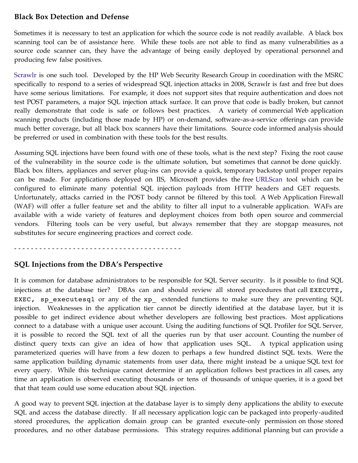# **Black Box Detection and Defense**

Sometimes it is necessary to test an application for which the source code is not readily available. A black box scanning tool can be of assistance here. While these tools are not able to find as many vulnerabilities as a source code scanner can, they have the advantage of being easily deployed by operational personnel and producing few false positives.

[Scrawlr](https://h30406.www3.hp.com/campaigns/2008/wwcampaign/1-57C4K/index.php) is one such tool. Developed by the HP Web Security Research Group in coordination with the MSRC specifically to respond to a series of widespread SQL injection attacks in 2008, Scrawlr is fast and free but does have some serious limitations. For example, it does not support sites that require authentication and does not test POST parameters, a major SQL injection attack surface. It can prove that code is badly broken, but cannot really demonstrate that code is safe or follows best practices. A variety of commercial Web application scanning products (including those made by HP) or on-demand, software-as-a-service offerings can provide much better coverage, but all black box scanners have their limitations. Source code informed analysis should be preferred or used in combination with these tools for the best results.

Assuming SQL injections have been found with one of these tools, what is the next step? Fixing the root cause of the vulnerability in the source code is the ultimate solution, but sometimes that cannot be done quickly. Black box filters, appliances and server plug-ins can provide a quick, temporary backstop until proper repairs can be made. For applications deployed on IIS, Microsoft provides the free [URLScan](http://www.iis.net/downloads/default.aspx?tabid=34&g=6&i=1697) tool which can be configured to eliminate many potential SQL injection payloads from HTTP headers and GET requests. Unfortunately, attacks carried in the POST body cannot be filtered by this tool. A Web Application Firewall (WAF) will offer a fuller feature set and the ability to filter all input to a vulnerable application. WAFs are available with a wide variety of features and deployment choices from both open source and commercial vendors. Filtering tools can be very useful, but always remember that they are stopgap measures, not substitutes for secure engineering practices and correct code.

- - - - - - - - - - - - - - - - - - - - - - - - - - - - - - - - - - - - - - - -

## **SQL Injections from the DBA's Perspective**

It is common for database administrators to be responsible for SQL Server security. Is it possible to find SQL injections at the database tier? DBAs can and should review all stored procedures that call EXECUTE, EXEC, sp executesql or any of the xp extended functions to make sure they are preventing SQL injection. Weaknesses in the application tier cannot be directly identified at the database layer, but it is possible to get indirect evidence about whether developers are following best practices. Most applications connect to a database with a unique user account. Using the auditing functions of SQL Profiler for SQL Server, it is possible to record the SQL text of all the queries run by that user account. Counting the number of distinct query texts can give an idea of how that application uses SQL. A typical application using parameterized queries will have from a few dozen to perhaps a few hundred distinct SQL texts. Were the same application building dynamic statements from user data, there might instead be a unique SQL text for every query. While this technique cannot determine if an application follows best practices in all cases, any time an application is observed executing thousands or tens of thousands of unique queries, it is a good bet that that team could use some education about SQL injection.

A good way to prevent SQL injection at the database layer is to simply deny applications the ability to execute SQL and access the database directly. If all necessary application logic can be packaged into properly-audited stored procedures, the application domain group can be granted execute-only permission on those stored procedures, and no other database permissions. This strategy requires additional planning but can provide a